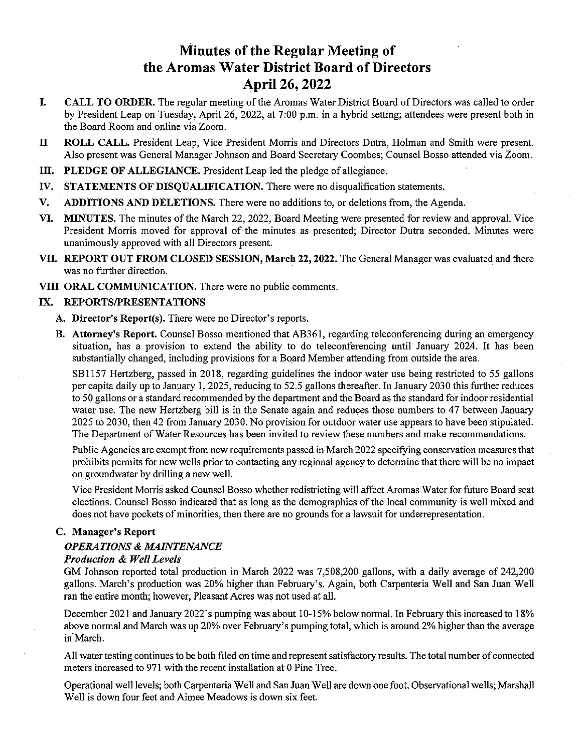# Minutes of the Regular Meeting of the Aromas Water District Board of Directors April 26, 2022

- CALL TO ORDER. The regular meeting of the Aromas Water District Board of Directors was called to order I. by President Leap on Tuesday, April 26, 2022, at 7:00 p.m. in <sup>a</sup> hybrid setting; attendees were present both in the Board Room and online via Zoom.
- II ROLL CALL. President Leap, Vice President Morris and Directors Dutra, Holman and Smith were present. Also present was General Manager Johnson and Board Secretary Coombes; Counsel Bosso attended via Zoom.
- III. PLEDGE OF ALLEGIANCE. President Leap led the pledge of allegiance.
- IV. STATEMENTS OF DISQUALIFICATION. There were no disqualification statements.
- V. ADDITIONS AND DELETIONS. There were no additions to, or deletions from, the Agenda.
- VI. MINUTES. The minutes of the March 22, 2022, Board Meeting were presented for review and approval. Vice President Morris moved for approval of the minutes as presented; Director Dutra seconded. Minutes were unanimously approved with all Directors present.
- VII. REPORT OUT FROM CLOSED SESSION, March 22, 2022. The General Manager was evaluated and there was no further direction.
- VIII ORAL COMMUNICATION. There were no public comments.

#### IX. REPORTS/PRESENTATIONS

- A. Director's Report(s). There were no Director's reports.
- B. Attorney's Report. Counsel Bosso mentioned that AB361, regarding teleconferencing during an emergency situation, has a provision to extend the ability to do teleconferencing until January 2024. It has been substantially changed, including provisions for a Board Member attending from outside the area.

SB1 157 Hertzberg, passed in 2018, regarding guidelines the indoor water use being restricted to 55 gallons per capita daily up to January 1,2025, reducing to 52.5 gallons thereafler. In January 2030 this further reduces to 50 gallons or <sup>a</sup> standard recommended by the department and the Board as the standard for indoor residential water use. The new Hertzberg bill is in the Senate again and reduces those numbers to 47 between January 2025 to 2030, then 42 from January 2030. No provision for outdoor water use appears to have been stipulated. The Department of Water Resources has been invited to review these numbers and make recommendations.

Public Agencies are exempt from new requirements passed in March 2022 specifying conservation measures that prohibits permits for new wells prior to contacting any regional agency to determine that there will be no impact on groundwater by drilling a new well.

Vice President Morris asked Counsel Bosso whether redistricting will affect Aromas Water for future Board seat elections. Counsel Bosso indicated that as long as the demographics of the local community is well mixed and does not have pockets of minorities, then there are no grounds for <sup>a</sup> lawsuit for underrepresentation.

#### C. Manager's Report

#### OPERATIONS & MAINTENANCE

#### Production & Well Levels

GM Johnson reported total production in March 2022 was 7,508,200 gallons, with <sup>a</sup> daily average of 242,200 gallons. March's production was 20% higher than February's. Again, both Carpenteria Well and San Juan Well ran the entire month; however, Pleasant Acres was not used at all.

December 2021 and January 2022's pumping was about 10-15% below normal. In February this increased to 18% above normal and March was up 20% over February's pumping total, which is around 2% higher than the average in March.

All water testing continues to be both filed on time and represent satisfactory results. The total number of connected meters increased to 971 with the recent installation at 0 Pine Tree.

Operational well levels; both Carpenteria Well and San Juan Well are down one foot. Observational wells; Marshall Well is down four feet and Aimee Meadows is down six feet.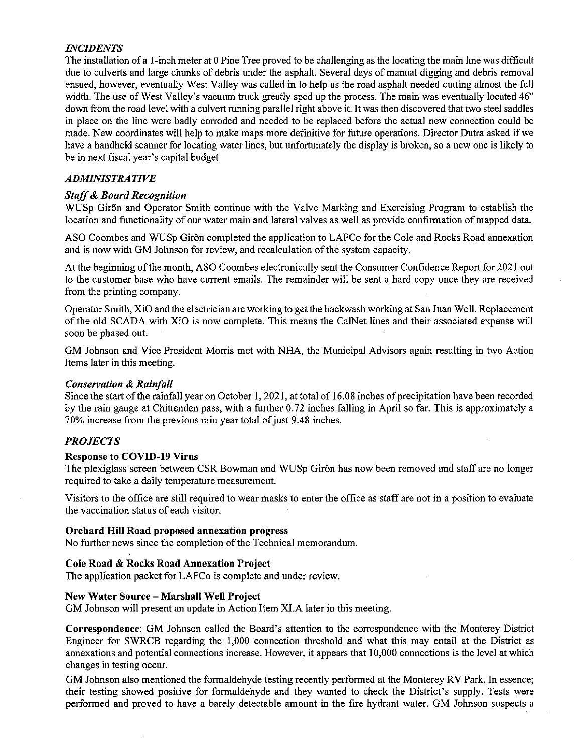# INCIDENTS

The installation of <sup>a</sup> 1-inch meter at <sup>0</sup> Pine Tree proved to be challenging as the locating the main line was difficult due to culverts and large chunks of debris under the asphalt. Several days of manual digging and debris removal ensued, however, eventually West Valley was called in to help as the road asphalt needed cutting almost the full width. The use of West Valley's vacuum truck greatly sped up the process. The main was eventually located 46" down from the road level with a culvert running parallel right above it. It was then discovered that two steel saddles in place on the line were badly corroded and needed to be replaced before the actual new connection could be made. New coordinates will help to make maps more definitive for future operations. Director Dutra asked if we have a handheld scanner for locating water lines, but unfortunately the display is broken, so a new one is likely to be in next fiscal year's capital budget.

# ADMINISTRATIVE

# Staff& Board Recognition

WUSp Giron and Operator Smith continue with the Valve Marking and Exercising Program to establish the location and functionality of our water main and lateral valves as well as provide confirmation of mapped data.

ASO Coombes and WUSp Giron completed the application to LAFCo for the Cole and Rocks Road annexation and is now with GM Johnson for review, and recalculation of the system capacity.

At the beginning of the month, ASO Coombes electronically sent the Consumer Confidence Report for 2021 out to the customer base who have current emails. The remainder will be sent <sup>a</sup> hard copy once they are received from the printing company.

Operator Smith, XiO and the electrician are working to get the backwash working at San Juan Well. Replacement of the old SCADA with XiO is now complete. This means the CalNet lines and their associated expense will soon be phased out.

GM Johnson and Vice President Morris met with NHA, the Municipal Advisors again resulting in two Action Items later in this meeting.

#### Conservation & Rainfall

Since the start of the rainfall year on October 1, 2021, at total of 16.08 inches of precipitation have been recorded by the rain gauge at Chittenden pass, with <sup>a</sup> further 0.72 inches falling in April so far. This is approximately <sup>a</sup> 70% increase from the previous rain year total of just 9.48 inches.

#### PROJECTS

#### Response to COVID-19 Virus

The plexiglass screen between CSR Bowman and WUSp Giron has now been removed and staff are no longer required to take a daily temperature measurement.

Visitors to the office are still required to wear masks to enter the office as staff are not in <sup>a</sup> position to evaluate the vaccination status of each visitor.

#### Orchard Hill Road proposed annexation progress

No further news since the completion of the Technical memorandum.

#### Cole Road & Rocks Road Annexation Project

The application packet for LAFCo is complete and under review.

#### New Water Source — Marshall Well Project

GM Johnson will present an update in Action Item XI.A later in this meeting.

Correspondence: GM Johnson called the Board's attention to the correspondence with the Monterey District Engineer for SWRCB regarding the 1,000 connection threshold and what this may entail at the District as annexations and potential connections increase. However, it appears that 10,000 connections is the level at which changes in testing occur.

GM Johnson also mentioned the formaldehyde testing recently performed at the Monterey RV Park. In essence; their testing showed positive for formaldehyde and they wanted to check the District's supply. Tests were performed and proved to have a barely detectable amount in the fire hydrant water. GM Johnson suspects <sup>a</sup>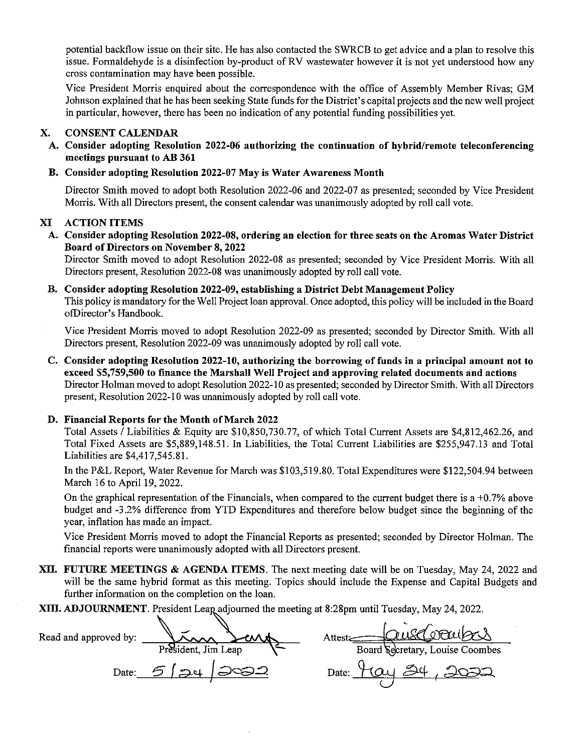potential backflow issue on their site. He has also contacted the SWRCB to get advice and a plan to resolve this issue. Formaldehyde is <sup>a</sup> disinfection by-product of RV wastewater however it is not yet understood how any cross contamination may have been possible.

Vice President Morris enquired about the correspondence with the office of Assembly Member Rivas; GM Johnson explained that he has been seeking State finds for the District's capital projects and the new well project in particular, however, there has been no indication of any potential finding possibilities yet.

# X. CONSENT CALENDAR

A. Consider adopting Resolution 2022-06 authorizing the continuation of hybrid/remote teleconferencing meetings pursuant to AB 361

# B. Consider adopting Resolution 2022-07 May is Water Awareness Month

Director Smith moved to adopt both Resolution 2022-06 and 2022-07 as presented; seconded by Vice President Morris. With all Directors present, the consent calendar was unanimously adopted by roll call vote.

# XI ACTION ITEMS

A. Consider adopting Resolution 2022-08, ordering an election for three seats on the Aromas Water District Board of Directors on November 8,2022

Director Smith moved to adopt Resolution 2022-08 as presented; seconded by Vice President Morris. With all Directors present, Resolution 2022-08 was unanimously adopted by roll call vote.

# B. Consider adopting Resolution 2022-09, establishing a District Debt Management Policy

This policy is mandatory for the Well Project loan approval. Once adopted, this policy will be included in the Board ofOirector's Handbook.

Vice President Morris moved to adopt Resolution 2022-09 as presented; seconded by Director Smith. With all Directors present, Resolution 2022-09 was unanimously adopted by roll call vote.

C. Consider adopting Resolution 2022-10, authorizing the borrowing of funds in a principal amount not to exceed \$5,759,500 to finance the Marshall Well Project and approving related documents and actions Director Holman moved to adopt Resolution 2022-10 as presented; seconded by Director Smith. With all Directors present, Resolution 2022-10 was unanimously adopted by roll call vote.

#### D. Financial Reports for the Month of March 2022

Total Assets  $\tilde{l}$  Liabilities & Equity are \$10,850,730.77, of which Total Current Assets are \$4,812,462.26, and Total Fixed Assets are \$5,889,148.51. In Liabilities, the Total Current Liabilities are \$255,947.13 and Total Liabilities are \$4,417,545.81.

In the P&L Report, Water Revenue for March was \$103,519.80. Total Expenditures were \$122,504.94 between March 16 to April 19, 2022.

On the graphical representation of the Financials, when compared to the current budget there is a  $+0.7\%$  above budget and -3.2% difference from YTD Expenditures and therefore below budget since the beginning of the year, inflation has made an impact.

Vice President Morris moved to adopt the Financial Reports as presented; seconded by Director Holman. The financial reports were unanimously adopted with all Directors present.

- XII. FUTURE MEETINGS & AGENDA ITEMS. The next meeting date will be on Tuesday, May 24, 2022 and will be the same hybrid format as this meeting. Topics should include the Expense and Capital Budgets and further information on the completion on the loan.
- XIII. ADJOURNMENT. President Leap adjourned the meeting at 8:28pm until Tuesday, May 24, 2022.

Read and approved by:  $\sum_{\mathbf{A}}$   $\sum_{\mathbf{A}}$   $\sum_{\mathbf{A}}$  Attest  $\sum_{\mathbf{A}}$  Attest  $\sum_{\mathbf{A}}$ President, Jim Leap  $\left\{\begin{matrix} \leftarrow \end{matrix}\right\}$  Board Secretary, Louise Coombes  $Date: 512412022$  Date:  $916124$